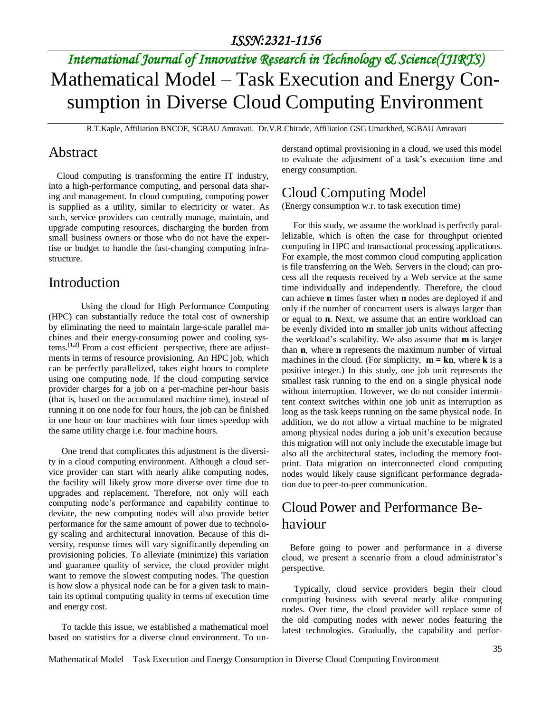# *International Journal of Innovative Research in Technology & Science(IJIRTS)* Mathematical Model – Task Execution and Energy Consumption in Diverse Cloud Computing Environment

R.T.Kaple, Affiliation BNCOE, SGBAU Amravati. Dr.V.R.Chirade, Affiliation GSG Umarkhed, SGBAU Amravati

#### Abstract

Cloud computing is transforming the entire IT industry, into a high-performance computing, and personal data sharing and management. In cloud computing, computing power is supplied as a utility, similar to electricity or water. As such, service providers can centrally manage, maintain, and upgrade computing resources, discharging the burden from small business owners or those who do not have the expertise or budget to handle the fast-changing computing infrastructure.

### Introduction

Using the cloud for High Performance Computing (HPC) can substantially reduce the total cost of ownership by eliminating the need to maintain large-scale parallel machines and their energy-consuming power and cooling systems.[**1,2]** From a cost efficient perspective, there are adjustments in terms of resource provisioning. An HPC job, which can be perfectly parallelized, takes eight hours to complete using one computing node. If the cloud computing service provider charges for a job on a per-machine per-hour basis (that is, based on the accumulated machine time), instead of running it on one node for four hours, the job can be finished in one hour on four machines with four times speedup with the same utility charge i.e. four machine hours.

One trend that complicates this adjustment is the diversity in a cloud computing environment. Although a cloud service provider can start with nearly alike computing nodes, the facility will likely grow more diverse over time due to upgrades and replacement. Therefore, not only will each computing node's performance and capability continue to deviate, the new computing nodes will also provide better performance for the same amount of power due to technology scaling and architectural innovation. Because of this diversity, response times will vary significantly depending on provisioning policies. To alleviate (minimize) this variation and guarantee quality of service, the cloud provider might want to remove the slowest computing nodes. The question is how slow a physical node can be for a given task to maintain its optimal computing quality in terms of execution time and energy cost.

To tackle this issue, we established a mathematical moel based on statistics for a diverse cloud environment. To understand optimal provisioning in a cloud, we used this model to evaluate the adjustment of a task's execution time and energy consumption.

### Cloud Computing Model

(Energy consumption w.r. to task execution time)

For this study, we assume the workload is perfectly parallelizable, which is often the case for throughput oriented computing in HPC and transactional processing applications. For example, the most common cloud computing application is file transferring on the Web. Servers in the cloud; can process all the requests received by a Web service at the same time individually and independently. Therefore, the cloud can achieve **n** times faster when **n** nodes are deployed if and only if the number of concurrent users is always larger than or equal to **n**. Next, we assume that an entire workload can be evenly divided into **m** smaller job units without affecting the workload's scalability. We also assume that **m** is larger than **n**, where **n** represents the maximum number of virtual machines in the cloud. (For simplicity,  $m = kn$ , where **k** is a positive integer.) In this study, one job unit represents the smallest task running to the end on a single physical node without interruption. However, we do not consider intermittent context switches within one job unit as interruption as long as the task keeps running on the same physical node. In addition, we do not allow a virtual machine to be migrated among physical nodes during a job unit's execution because this migration will not only include the executable image but also all the architectural states, including the memory footprint. Data migration on interconnected cloud computing nodes would likely cause significant performance degradation due to peer-to-peer communication.

## Cloud Power and Performance Behaviour

Before going to power and performance in a diverse cloud, we present a scenario from a cloud administrator's perspective.

Typically, cloud service providers begin their cloud computing business with several nearly alike computing nodes. Over time, the cloud provider will replace some of the old computing nodes with newer nodes featuring the latest technologies. Gradually, the capability and perfor-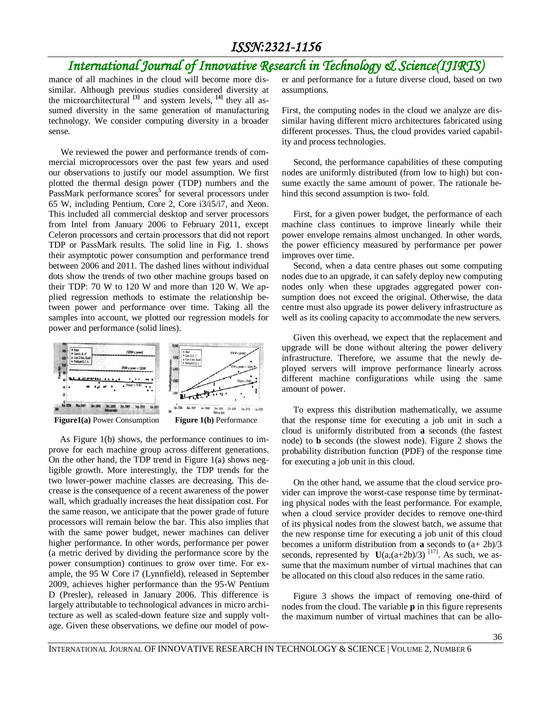### *ISSN:2321-1156*

## *International Journal of Innovative Research in Technology & Science(IJIRTS)*

mance of all machines in the cloud will become more dissimilar. Although previous studies considered diversity at the microarchitectural **[3]** and system levels, **[4]** they all assumed diversity in the same generation of manufacturing technology. We consider computing diversity in a broader sense.

We reviewed the power and performance trends of commercial microprocessors over the past few years and used our observations to justify our model assumption. We first plotted the thermal design power (TDP) numbers and the PassMark performance scores**<sup>5</sup>** for several processors under 65 W, including Pentium, Core 2, Core i3/i5/i7, and Xeon. This included all commercial desktop and server processors from Intel from January 2006 to February 2011, except Celeron processors and certain processors that did not report TDP or PassMark results. The solid line in Fig. 1. shows their asymptotic power consumption and performance trend between 2006 and 2011. The dashed lines without individual dots show the trends of two other machine groups based on their TDP: 70 W to 120 W and more than 120 W. We applied regression methods to estimate the relationship between power and performance over time. Taking all the samples into account, we plotted our regression models for power and performance (solid lines).



As Figure 1(b) shows, the performance continues to improve for each machine group across different generations. On the other hand, the TDP trend in Figure 1(a) shows negligible growth. More interestingly, the TDP trends for the two lower-power machine classes are decreasing. This decrease is the consequence of a recent awareness of the power wall, which gradually increases the heat dissipation cost. For the same reason, we anticipate that the power grade of future processors will remain below the bar. This also implies that with the same power budget, newer machines can deliver higher performance. In other words, performance per power (a metric derived by dividing the performance score by the power consumption) continues to grow over time. For example, the 95 W Core i7 (Lynnfield), released in September 2009, achieves higher performance than the 95-W Pentium D (Presler), released in January 2006. This difference is largely attributable to technological advances in micro architecture as well as scaled-down feature size and supply voltage. Given these observations, we define our model of power and performance for a future diverse cloud, based on two assumptions.

First, the computing nodes in the cloud we analyze are dissimilar having different micro architectures fabricated using different processes. Thus, the cloud provides varied capability and process technologies.

Second, the performance capabilities of these computing nodes are uniformly distributed (from low to high) but consume exactly the same amount of power. The rationale behind this second assumption is two- fold.

First, for a given power budget, the performance of each machine class continues to improve linearly while their power envelope remains almost unchanged. In other words, the power efficiency measured by performance per power improves over time.

Second, when a data centre phases out some computing nodes due to an upgrade, it can safely deploy new computing nodes only when these upgrades aggregated power consumption does not exceed the original. Otherwise, the data centre must also upgrade its power delivery infrastructure as well as its cooling capacity to accommodate the new servers.

Given this overhead, we expect that the replacement and upgrade will be done without altering the power delivery infrastructure. Therefore, we assume that the newly deployed servers will improve performance linearly across different machine configurations while using the same amount of power.

To express this distribution mathematically, we assume that the response time for executing a job unit in such a cloud is uniformly distributed from **a** seconds (the fastest node) to **b** seconds (the slowest node). Figure 2 shows the probability distribution function (PDF) of the response time for executing a job unit in this cloud.

On the other hand, we assume that the cloud service provider can improve the worst-case response time by terminating physical nodes with the least performance. For example, when a cloud service provider decides to remove one-third of its physical nodes from the slowest batch, we assume that the new response time for executing a job unit of this cloud becomes a uniform distribution from **a** seconds to (a+ 2b)/3 seconds, represented by  $U(a,(a+2b)/3)$ <sup>[17]</sup>. As such, we assume that the maximum number of virtual machines that can be allocated on this cloud also reduces in the same ratio.

Figure 3 shows the impact of removing one-third of nodes from the cloud. The variable **p** in this figure represents the maximum number of virtual machines that can be allo-

INTERNATIONAL JOURNAL OF INNOVATIVE RESEARCH IN TECHNOLOGY & SCIENCE | VOLUME 2, NUMBER 6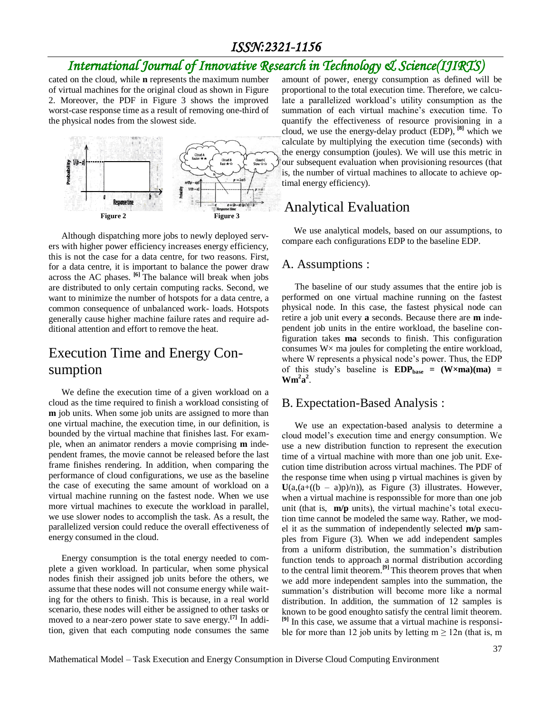## *ISSN:2321-1156*

## *International Journal of Innovative Research in Technology & Science(IJIRTS)*

cated on the cloud, while **n** represents the maximum number of virtual machines for the original cloud as shown in Figure 2. Moreover, the PDF in Figure 3 shows the improved worst-case response time as a result of removing one-third of the physical nodes from the slowest side.



Although dispatching more jobs to newly deployed servers with higher power efficiency increases energy efficiency, this is not the case for a data centre, for two reasons. First, for a data centre, it is important to balance the power draw across the AC phases. **[6]** The balance will break when jobs are distributed to only certain computing racks. Second, we want to minimize the number of hotspots for a data centre, a common consequence of unbalanced work- loads. Hotspots generally cause higher machine failure rates and require additional attention and effort to remove the heat.

## Execution Time and Energy Consumption

We define the execution time of a given workload on a cloud as the time required to finish a workload consisting of **m** job units. When some job units are assigned to more than one virtual machine, the execution time, in our definition, is bounded by the virtual machine that finishes last. For example, when an animator renders a movie comprising **m** independent frames, the movie cannot be released before the last frame finishes rendering. In addition, when comparing the performance of cloud configurations, we use as the baseline the case of executing the same amount of workload on a virtual machine running on the fastest node. When we use more virtual machines to execute the workload in parallel, we use slower nodes to accomplish the task. As a result, the parallelized version could reduce the overall effectiveness of energy consumed in the cloud.

Energy consumption is the total energy needed to complete a given workload. In particular, when some physical nodes finish their assigned job units before the others, we assume that these nodes will not consume energy while waiting for the others to finish. This is because, in a real world scenario, these nodes will either be assigned to other tasks or moved to a near-zero power state to save energy.<sup>[7]</sup> In addition, given that each computing node consumes the same amount of power, energy consumption as defined will be proportional to the total execution time. Therefore, we calculate a parallelized workload's utility consumption as the summation of each virtual machine's execution time. To quantify the effectiveness of resource provisioning in a cloud, we use the energy-delay product (EDP), **[8]** which we calculate by multiplying the execution time (seconds) with the energy consumption (joules). We will use this metric in our subsequent evaluation when provisioning resources (that is, the number of virtual machines to allocate to achieve optimal energy efficiency).

### Analytical Evaluation

We use analytical models, based on our assumptions, to compare each configurations EDP to the baseline EDP.

#### A. Assumptions :

The baseline of our study assumes that the entire job is performed on one virtual machine running on the fastest physical node. In this case, the fastest physical node can retire a job unit every **a** seconds. Because there are **m** independent job units in the entire workload, the baseline configuration takes **ma** seconds to finish. This configuration consumes  $W \times$  ma joules for completing the entire workload, where W represents a physical node's power. Thus, the EDP of this study's baseline is  $EDP_{base} = (W \times ma)(ma) =$  $Wm^2a^2$ .

#### B. Expectation-Based Analysis :

We use an expectation-based analysis to determine a cloud model's execution time and energy consumption. We use a new distribution function to represent the execution time of a virtual machine with more than one job unit. Execution time distribution across virtual machines. The PDF of the response time when using p virtual machines is given by  $U(a,(a+(b - a)p)/n))$ , as Figure (3) illustrates. However, when a virtual machine is responssible for more than one job unit (that is, **m/p** units), the virtual machine's total execution time cannot be modeled the same way. Rather, we model it as the summation of independently selected **m/p** samples from Figure (3). When we add independent samples from a uniform distribution, the summation's distribution function tends to approach a normal distribution according to the central limit theorem.**[9]** This theorem proves that when we add more independent samples into the summation, the summation's distribution will become more like a normal distribution. In addition, the summation of 12 samples is known to be good enoughto satisfy the central limit theorem. **[9]** In this case, we assume that a virtual machine is responsible for more than 12 job units by letting  $m \ge 12n$  (that is, m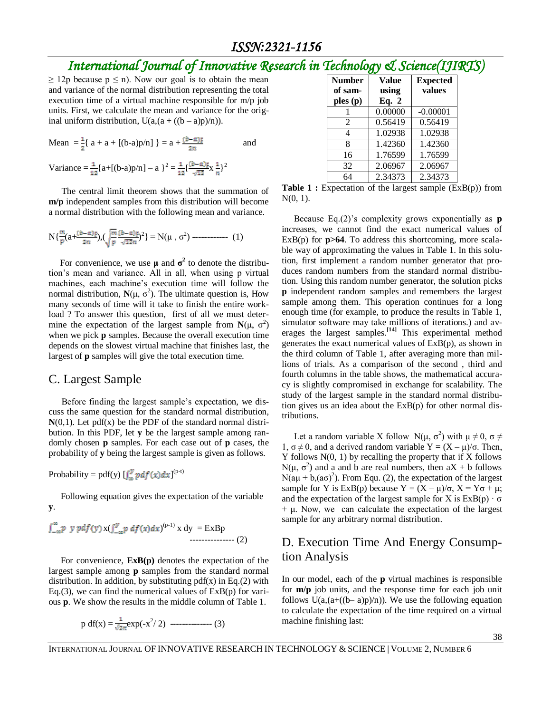### *ISSN:2321-1156*

## *International Journal of Innovative Research in Technology & Science(IJIRTS)*

 $\geq$  12p because  $p \leq n$ ). Now our goal is to obtain the mean and variance of the normal distribution representing the total execution time of a virtual machine responsible for m/p job units. First, we calculate the mean and variance for the original uniform distribution,  $U(a,(a + ((b - a)p)/n))$ .

Mean 
$$
=\frac{1}{2}
$$
{ a + a + [(b-a)p/n ] } = a +  $\frac{(b-a)y}{2n}$  and  
Variance  $=\frac{1}{12}$ {a+[(b-a)p/n] - a } $^2 = \frac{1}{12}$ { $\frac{(b-a)y}{\sqrt{12}}x \frac{1}{n}$ }<sup>2</sup>

The central limit theorem shows that the summation of **m/p** independent samples from this distribution will become a normal distribution with the following mean and variance.

$$
N\{\frac{m}{p}(a+\frac{(b-a)\xi}{2n}),(\sqrt{\frac{m}{p}}\frac{(b-a)\xi}{\sqrt{12}n})^2\}=N(\mu,\sigma^2)\text{ ...}
$$
 (1)

For convenience, we use  $\mu$  and  $\sigma^2$  to denote the distribution's mean and variance. All in all, when using p virtual machines, each machine's execution time will follow the normal distribution,  $N(\mu, \sigma^2)$ . The ultimate question is, How many seconds of time will it take to finish the entire workload ? To answer this question, first of all we must determine the expectation of the largest sample from  $N(\mu, \sigma^2)$ when we pick **p** samples. Because the overall execution time depends on the slowest virtual machine that finishes last, the largest of **p** samples will give the total execution time.

#### C. Largest Sample

Before finding the largest sample's expectation, we discuss the same question for the standard normal distribution, **N**(0,1). Let pdf(x) be the PDF of the standard normal distribution. In this PDF, let **y** be the largest sample among randomly chosen **p** samples. For each case out of **p** cases, the probability of **y** being the largest sample is given as follows.

Probability = pdf(y)  $\int_{\infty}^{y} p df(x) dx$  |<sup>(p-t)</sup>

Following equation gives the expectation of the variable **y**.

$$
\int_{-\infty}^{\infty} p \, y \, pdf(y) \, x (\int_{-\infty}^{y} p \, df(x) dx)^{(p-1)} \, x \, dy = \text{ExBp}
$$

For convenience, **ExB(p)** denotes the expectation of the largest sample among **p** samples from the standard normal distribution. In addition, by substituting  $pdf(x)$  in Eq.(2) with Eq.(3), we can find the numerical values of  $ExB(p)$  for various **p**. We show the results in the middle column of Table 1.

$$
p df(x) = \frac{1}{\sqrt{2\pi}} exp(-x^2/2) \ \cdots \cdots \cdots \cdots \cdots \cdots (3)
$$

| <b>Number</b> | Value   | <b>Expected</b> |
|---------------|---------|-----------------|
| of sam-       | using   | values          |
| ples (p)      | Eq. 2   |                 |
|               | 0.00000 | $-0.00001$      |
| 2             | 0.56419 | 0.56419         |
| Δ             | 1.02938 | 1.02938         |
| 8             | 1.42360 | 1.42360         |
| 16            | 1.76599 | 1.76599         |
| 32            | 2.06967 | 2.06967         |
| 64            | 2.34373 | 2.34373         |

**Table 1 :** Expectation of the largest sample (ExB(p)) from N(0, 1).

Because Eq.(2)'s complexity grows exponentially as **p** increases, we cannot find the exact numerical values of ExB(p) for **p>64**. To address this shortcoming, more scalable way of approximating the values in Table 1. In this solution, first implement a random number generator that produces random numbers from the standard normal distribution. Using this random number generator, the solution picks **p** independent random samples and remembers the largest sample among them. This operation continues for a long enough time (for example, to produce the results in Table 1, simulator software may take millions of iterations.) and averages the largest samples.**[14]** This experimental method generates the exact numerical values of ExB(p), as shown in the third column of Table 1, after averaging more than millions of trials. As a comparison of the second , third and fourth columns in the table shows, the mathematical accuracy is slightly compromised in exchange for scalability. The study of the largest sample in the standard normal distribution gives us an idea about the ExB(p) for other normal distributions.

Let a random variable X follow  $N(\mu, \sigma^2)$  with  $\mu \neq 0$ ,  $\sigma \neq$ 1, σ ≠ 0, and a derived random variable Y =  $(X – μ)/σ$ . Then,  $Y$  follows  $N(0, 1)$  by recalling the property that if  $X$  follows N( $\mu$ ,  $\sigma^2$ ) and a and b are real numbers, then aX + b follows N(a $\mu$  + b,(a $\sigma$ )<sup>2</sup>). From Equ. (2), the expectation of the largest sample for Y is  $ExB(p)$  because  $Y = (X - \mu)/\sigma$ ,  $X = Y\sigma + \mu$ ; and the expectation of the largest sample for X is  $ExB(p) \cdot \sigma$  $+ \mu$ . Now, we can calculate the expectation of the largest sample for any arbitrary normal distribution.

### D. Execution Time And Energy Consumption Analysis

In our model, each of the **p** virtual machines is responsible for **m/p** job units, and the response time for each job unit follows  $U(a,(a+(b-a)p)/n))$ . We use the following equation to calculate the expectation of the time required on a virtual machine finishing last: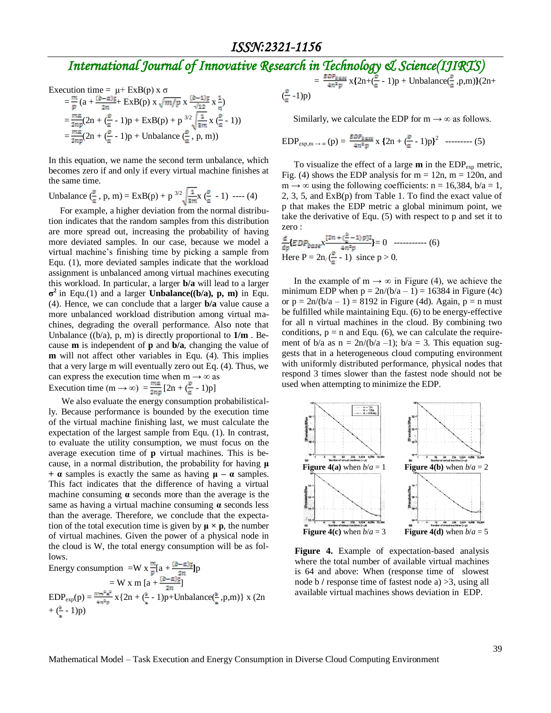## *International Journal of Innovative Research in Technology & Science(IJIRTS)*

Execution time =  $\mu$ + ExB(p) x  $\sigma$ 

$$
= \frac{m}{p} (a + \frac{(b-a)y}{2n} + \text{ExB}(p) \times \sqrt{m/p} \times \frac{(b-1)y}{\sqrt{12}} \times \frac{1}{n})
$$
  
=  $\frac{ma}{2np}(2n + (\frac{b}{a} - 1)p + \text{ExB}(p) + p \frac{3/2}{\sqrt{\frac{1}{2m}}} \times (\frac{b}{a} - 1))$   
=  $\frac{ma}{2np}(2n + (\frac{b}{a} - 1)p + \text{Unbalance} (\frac{b}{a}, p, m))$ 

In this equation, we name the second term unbalance, which becomes zero if and only if every virtual machine finishes at the same time.

Unbalance 
$$
(\frac{b}{a}, p, m) = ExB(p) + p^{3/2} \sqrt{\frac{1}{3m}}x (\frac{b}{a} - 1) \text{ --- } (4)
$$

For example, a higher deviation from the normal distribution indicates that the random samples from this distribution are more spread out, increasing the probability of having more deviated samples. In our case, because we model a virtual machine's finishing time by picking a sample from Equ. (1), more deviated samples indicate that the workload assignment is unbalanced among virtual machines executing this workload. In particular, a larger **b/a** will lead to a larger  $\sigma^2$  in Equ.(1) and a larger **Unbalance**((b/a), p, m) in Equ. (4). Hence, we can conclude that a larger **b/a** value cause a more unbalanced workload distribution among virtual machines, degrading the overall performance. Also note that Unbalance ((b/a), p, m) is directly proportional to **1/m** . Because **m** is independent of **p** and **b/a**, changing the value of **m** will not affect other variables in Equ. (4). This implies that a very large m will eventually zero out Eq. (4). Thus, we can express the execution time when  $m \rightarrow \infty$  as Execution time  $(m \rightarrow \infty) = \frac{m\pi}{2mn} [2n + (\frac{\pi}{2} - 1)p]$ 

We also evaluate the energy consumption probabilistically. Because performance is bounded by the execution time of the virtual machine finishing last, we must calculate the expectation of the largest sample from Equ. (1). In contrast, to evaluate the utility consumption, we must focus on the average execution time of **p** virtual machines. This is because, in a normal distribution, the probability for having **μ +**  $\alpha$  samples is exactly the same as having  $\mu - \alpha$  samples. This fact indicates that the difference of having a virtual machine consuming **α** seconds more than the average is the same as having a virtual machine consuming **α** seconds less than the average. Therefore, we conclude that the expectation of the total execution time is given by  $\mu \times p$ , the number of virtual machines. Given the power of a physical node in the cloud is W, the total energy consumption will be as follows.

Energy consumption =W x  $\frac{m}{n}[a + \frac{(b-a)p}{2n}]p$  $= W x m [a + \frac{(p-a)p}{2m}]$  $EDP_{exp}(p) = \frac{w + w}{2} x \{2n + (\frac{p}{2} - 1)p + Unbalance(\frac{p}{2}, p, m)\} x (2n)$  $+$  ( $\frac{1}{2}$  - 1)p)

$$
= \frac{\frac{EDP_{\text{base}}}{4n^2p} \times \{2n + (\frac{p}{\alpha} - 1)p + Unbalance(\frac{p}{\alpha}, p, m)\}(2n +
$$
  
 $(\frac{p}{\alpha} - 1)p)$ 

Similarly, we calculate the EDP for  $m \rightarrow \infty$  as follows.

EDP<sub>exp,m→∞</sub> (p) = 
$$
\frac{EDP_{\text{base}}}{4n^2p}
$$
 x {2n +  $(\frac{p}{a} - 1)p$ }<sup>2</sup> \n----- (5)

To visualize the effect of a large  $\mathbf{m}$  in the EDP<sub>exp</sub> metric, Fig. (4) shows the EDP analysis for  $m = 12n$ ,  $m = 120n$ , and  $m \rightarrow \infty$  using the following coefficients:  $n = 16,384$ ,  $b/a = 1$ , 2, 3, 5, and ExB(p) from Table 1. To find the exact value of p that makes the EDP metric a global minimum point, we take the derivative of Equ. (5) with respect to p and set it to zero :

$$
\frac{d}{dp}\left\{EDP_{base}\frac{(2n + (\frac{b}{a} - 1)p)2}{4n^2p}\right\} = 0
$$
 \n-(6)  
\nHere P = 2n/ $(\frac{b}{a} - 1)$  since p > 0.

In the example of  $m \to \infty$  in Figure (4), we achieve the minimum EDP when  $p = 2n/(b/a - 1) = 16384$  in Figure (4c) or  $p = 2n/(b/a - 1) = 8192$  in Figure (4d). Again,  $p = n$  must be fulfilled while maintaining Equ. (6) to be energy-effective for all n virtual machines in the cloud. By combining two conditions,  $p = n$  and Equ. (6), we can calculate the requirement of b/a as  $n = 2n/(b/a - 1)$ ;  $b/a = 3$ . This equation suggests that in a heterogeneous cloud computing environment with uniformly distributed performance, physical nodes that respond 3 times slower than the fastest node should not be used when attempting to minimize the EDP.



**Figure 4.** Example of expectation-based analysis where the total number of available virtual machines is 64 and above: When (response time of slowest node b **/** response time of fastest node a) >3, using all available virtual machines shows deviation in EDP.